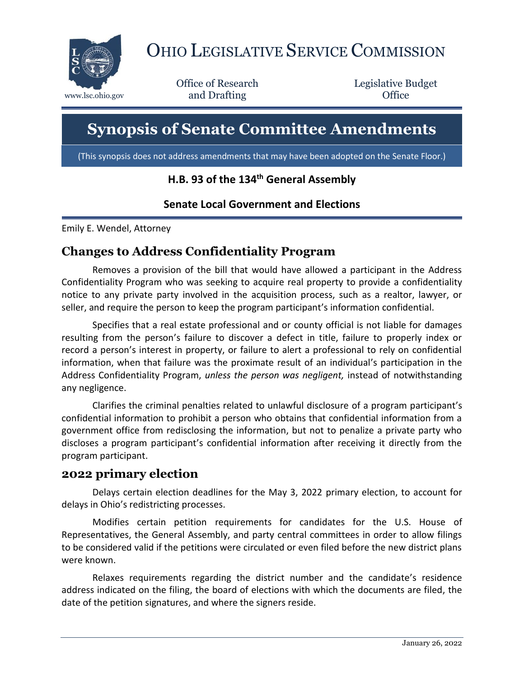

# OHIO LEGISLATIVE SERVICE COMMISSION

Office of Research www.lsc.ohio.gov **and Drafting Office** 

Legislative Budget

## **Synopsis of Senate Committee Amendments**

(This synopsis does not address amendments that may have been adopted on the Senate Floor.)

#### **H.B. 93 of the 134th General Assembly**

#### **Senate Local Government and Elections**

Emily E. Wendel, Attorney

#### **Changes to Address Confidentiality Program**

Removes a provision of the bill that would have allowed a participant in the Address Confidentiality Program who was seeking to acquire real property to provide a confidentiality notice to any private party involved in the acquisition process, such as a realtor, lawyer, or seller, and require the person to keep the program participant's information confidential.

Specifies that a real estate professional and or county official is not liable for damages resulting from the person's failure to discover a defect in title, failure to properly index or record a person's interest in property, or failure to alert a professional to rely on confidential information, when that failure was the proximate result of an individual's participation in the Address Confidentiality Program, *unless the person was negligent,* instead of notwithstanding any negligence.

Clarifies the criminal penalties related to unlawful disclosure of a program participant's confidential information to prohibit a person who obtains that confidential information from a government office from redisclosing the information, but not to penalize a private party who discloses a program participant's confidential information after receiving it directly from the program participant.

#### **2022 primary election**

Delays certain election deadlines for the May 3, 2022 primary election, to account for delays in Ohio's redistricting processes.

Modifies certain petition requirements for candidates for the U.S. House of Representatives, the General Assembly, and party central committees in order to allow filings to be considered valid if the petitions were circulated or even filed before the new district plans were known.

Relaxes requirements regarding the district number and the candidate's residence address indicated on the filing, the board of elections with which the documents are filed, the date of the petition signatures, and where the signers reside.